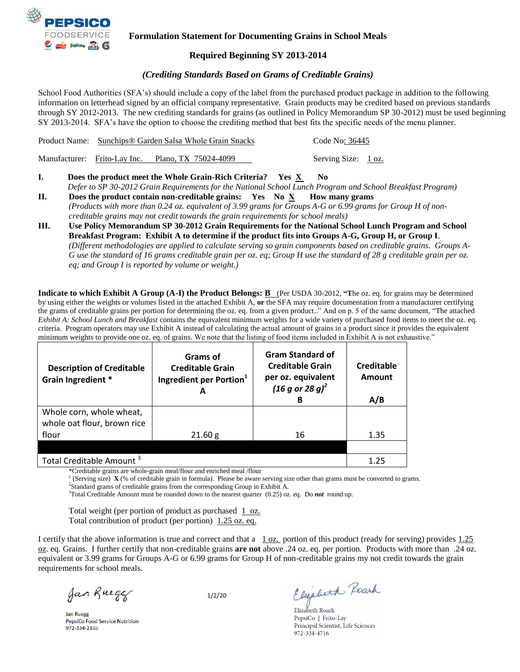

### **Formulation Statement for Documenting Grains in School Meals**

### **Required Beginning SY 2013-2014**

### *(Crediting Standards Based on Grams of Creditable Grains)*

School Food Authorities (SFA's) should include a copy of the label from the purchased product package in addition to the following information on letterhead signed by an official company representative. Grain products may be credited based on previous standards through SY 2012-2013. The new crediting standards for grains (as outlined in Policy Memorandum SP 30-2012) must be used beginning SY 2013-2014. SFA's have the option to choose the crediting method that best fits the specific needs of the menu planner.

|  | Product Name: Sunchips® Garden Salsa Whole Grain Snacks | Code No: 36445      |  |
|--|---------------------------------------------------------|---------------------|--|
|  | Manufacturer: Frito-Lay Inc. Plano, TX 75024-4099       | Serving Size: 1 oz. |  |

- **I.****Does the product meet the Whole Grain-Rich Criteria? Yes X No**   *Defer to SP 30-2012 Grain Requirements for the National School Lunch Program and School Breakfast Program)*
- **II. Does the product contain non-creditable grains:** Yes No  $\overline{X}$  **How many grams** *(Products with more than 0.24 oz. equivalent of 3.99 grams for Groups A-G or 6.99 grams for Group H of noncreditable grains may not credit towards the grain requirements for school meals)*
- **III. Use Policy Memorandum SP 30-2012 Grain Requirements for the National School Lunch Program and School Breakfast Program: Exhibit A to determine if the product fits into Groups A-G, Group H, or Group I**. *(Different methodologies are applied to calculate serving so grain components based on creditable grains. Groups A-G use the standard of 16 grams creditable grain per oz. eq; Group H use the standard of 28 g creditable grain per oz. eq; and Group I is reported by volume or weight.)*

**Indicate to which Exhibit A Group (A-I) the Product Belongs: B** (Per USDA 30-2012, **"T**he oz. eq. for grains may be determined by using either the weights or volumes listed in the attached Exhibit A, **or** the SFA may require documentation from a manufacturer certifying the grams of creditable grains per portion for determining the oz. eq. from a given product.." And on p. 5 of the same document, "The attached *Exhibit A: School Lunch and Breakfast* contains the equivalent minimum weights for a wide variety of purchased food items to meet the oz. eq. criteria. Program operators may use Exhibit A instead of calculating the actual amount of grains in a product since it provides the equivalent minimum weights to provide one oz. eq. of grains. We note that the listing of food items included in Exhibit A is not exhaustive."

| <b>Description of Creditable</b><br>Grain Ingredient * | Grams of<br><b>Creditable Grain</b><br>Ingredient per Portion <sup>1</sup> | <b>Gram Standard of</b><br><b>Creditable Grain</b><br>per oz. equivalent<br>$(16 g or 28 g)^2$<br>в | Creditable<br>Amount<br>A/B |
|--------------------------------------------------------|----------------------------------------------------------------------------|-----------------------------------------------------------------------------------------------------|-----------------------------|
| Whole corn, whole wheat,                               |                                                                            |                                                                                                     |                             |
| whole oat flour, brown rice                            |                                                                            |                                                                                                     |                             |
| flour                                                  | 21.60 g                                                                    | 16                                                                                                  | 1.35                        |
|                                                        |                                                                            |                                                                                                     |                             |
| Total Creditable Amount <sup>3</sup>                   | 1.25                                                                       |                                                                                                     |                             |

\*Creditable grains are whole-grain meal/flour and enriched meal/flour<br> $\frac{1}{2}$  (Serving size)  $\bf{Y}$  ( $\%$  of ereditable grain in formula). Plases he gware

(Serving size) **X** (% of creditable grain in formula). Please be aware serving size other than grams must be converted to grams.

<sup>2</sup>Standard grams of creditable grains from the corresponding Group in Exhibit A.

<sup>3</sup>Total Creditable Amount must be rounded down to the nearest quarter (0.25) oz. eq. Do *not* round up.

Total weight (per portion of product as purchased  $1$  oz. Total contribution of product (per portion) 1.25 oz. eq.

I certify that the above information is true and correct and that a  $1 \text{ oz}$  portion of this product (ready for serving) provides  $1.25$ oz. eq. Grains. I further certify that non-creditable grains **are not** above .24 oz. eq. per portion. Products with more than .24 oz. equivalent or 3.99 grams for Groups A-G or 6.99 grams for Group H of non-creditable grains my not credit towards the grain requirements for school meals.

Jan Rueger

1/2/20

**Jan Ruegg** PepsiCo Food Service Nutrition 972-334-2165

Elizabeth Reark

Elizabeth Roark PepsiCo | Frito-Lay Principal Scientist, Life Sciences 972-334-4716